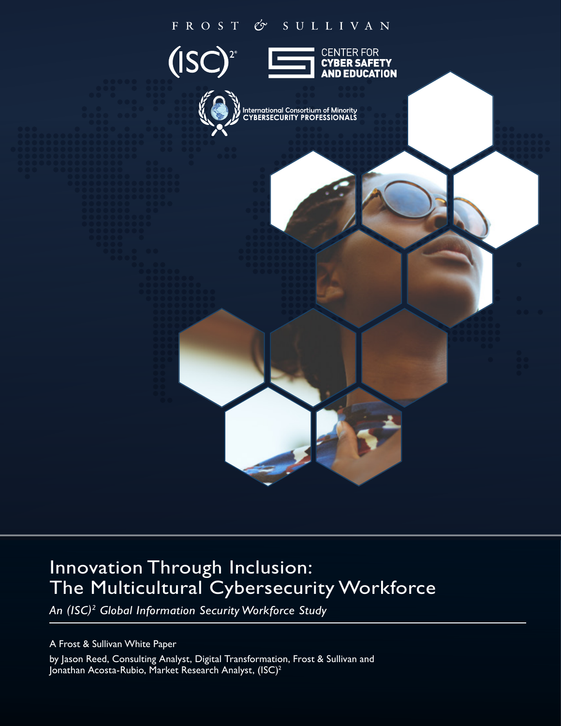# FROST & SULLIVAN



# Innovation Through Inclusion: The Multicultural Cybersecurity Workforce

*An (ISC)2 Global Information Security Workforce Study*

A Frost & Sullivan White Paper by Jason Reed, Consulting Analyst, Digital Transformation, Frost & Sullivan and Jonathan Acosta-Rubio, Market Research Analyst, (ISC)<sup>2</sup>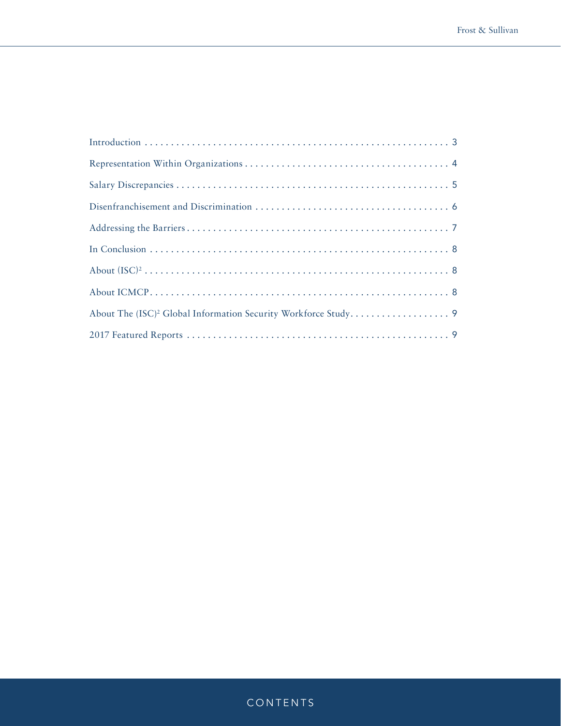## CONTENTS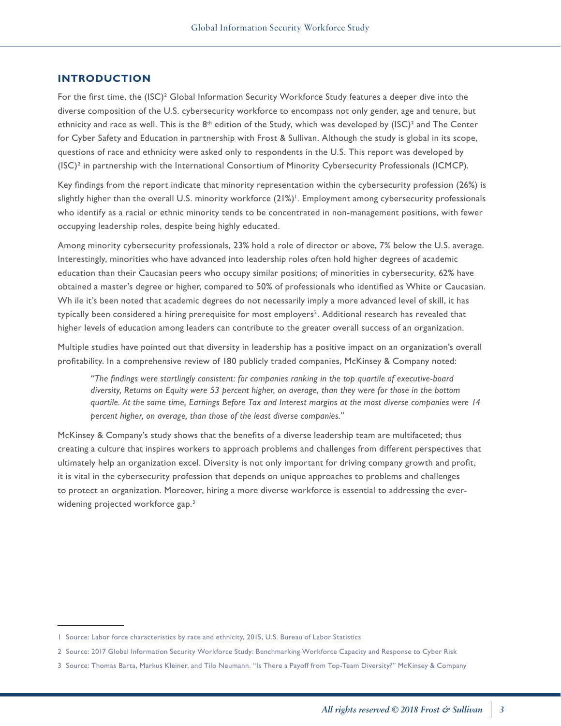#### <span id="page-2-0"></span>**INTRODUCTION**

For the first time, the (ISC)² Global Information Security Workforce Study features a deeper dive into the diverse composition of the U.S. cybersecurity workforce to encompass not only gender, age and tenure, but ethnicity and race as well. This is the  $8^{th}$  edition of the Study, which was developed by (ISC)<sup>2</sup> and The Center for Cyber Safety and Education in partnership with Frost & Sullivan. Although the study is global in its scope, questions of race and ethnicity were asked only to respondents in the U.S. This report was developed by (ISC)² in partnership with the International Consortium of Minority Cybersecurity Professionals (ICMCP).

Key findings from the report indicate that minority representation within the cybersecurity profession (26%) is slightly higher than the overall U.S. minority workforce (21%)<sup>1</sup>. Employment among cybersecurity professionals who identify as a racial or ethnic minority tends to be concentrated in non-management positions, with fewer occupying leadership roles, despite being highly educated.

Among minority cybersecurity professionals, 23% hold a role of director or above, 7% below the U.S. average. Interestingly, minorities who have advanced into leadership roles often hold higher degrees of academic education than their Caucasian peers who occupy similar positions; of minorities in cybersecurity, 62% have obtained a master's degree or higher, compared to 50% of professionals who identified as White or Caucasian. Wh ile it's been noted that academic degrees do not necessarily imply a more advanced level of skill, it has typically been considered a hiring prerequisite for most employers<sup>2</sup>. Additional research has revealed that higher levels of education among leaders can contribute to the greater overall success of an organization.

Multiple studies have pointed out that diversity in leadership has a positive impact on an organization's overall profitability. In a comprehensive review of 180 publicly traded companies, McKinsey & Company noted:

*"The findings were startlingly consistent: for companies ranking in the top quartile of executive-board diversity, Returns on Equity were 53 percent higher, on average, than they were for those in the bottom quartile. At the same time, Earnings Before Tax and Interest margins at the most diverse companies were 14 percent higher, on average, than those of the least diverse companies."* 

McKinsey & Company's study shows that the benefits of a diverse leadership team are multifaceted; thus creating a culture that inspires workers to approach problems and challenges from different perspectives that ultimately help an organization excel. Diversity is not only important for driving company growth and profit, it is vital in the cybersecurity profession that depends on unique approaches to problems and challenges to protect an organization. Moreover, hiring a more diverse workforce is essential to addressing the everwidening projected workforce gap.<sup>3</sup>

<sup>1</sup> Source: Labor force characteristics by race and ethnicity, 2015, U.S. Bureau of Labor Statistics

<sup>2</sup> Source: 2017 Global Information Security Workforce Study: Benchmarking Workforce Capacity and Response to Cyber Risk

<sup>3</sup> Source: Thomas Barta, Markus Kleiner, and Tilo Neumann. "Is There a Payoff from Top-Team Diversity?" McKinsey & Company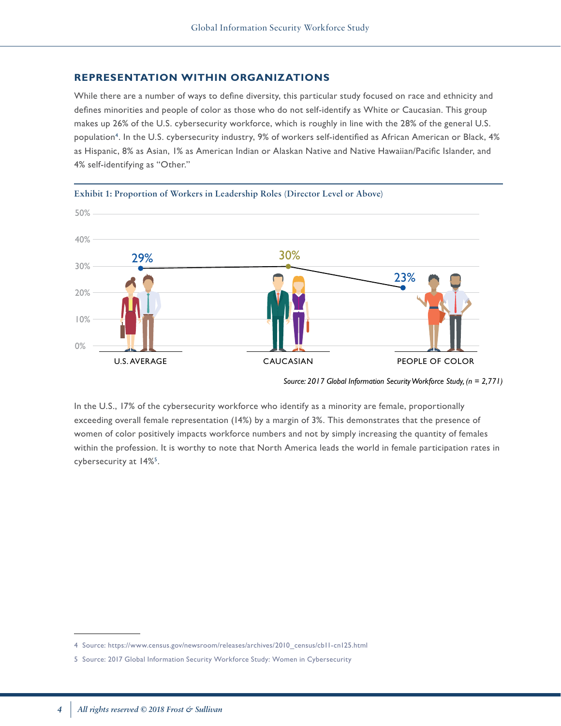#### <span id="page-3-0"></span>**REPRESENTATION WITHIN ORGANIZATIONS**

While there are a number of ways to define diversity, this particular study focused on race and ethnicity and defines minorities and people of color as those who do not self-identify as White or Caucasian. This group makes up 26% of the U.S. cybersecurity workforce, which is roughly in line with the 28% of the general U.S. population<sup>4</sup>. In the U.S. cybersecurity industry, 9% of workers self-identified as African American or Black, 4% as Hispanic, 8% as Asian, 1% as American Indian or Alaskan Native and Native Hawaiian/Pacific Islander, and 4% self-identifying as "Other."





*Source: 2017 Global Information Security Workforce Study, (n = 2,771)*

In the U.S., 17% of the cybersecurity workforce who identify as a minority are female, proportionally exceeding overall female representation (14%) by a margin of 3%. This demonstrates that the presence of women of color positively impacts workforce numbers and not by simply increasing the quantity of females within the profession. It is worthy to note that North America leads the world in female participation rates in cybersecurity at 14%<sup>5</sup>.

<sup>4</sup> Source: https://www.census.gov/newsroom/releases/archives/2010\_census/cb11-cn125.html

<sup>5</sup> Source: 2017 Global Information Security Workforce Study: Women in Cybersecurity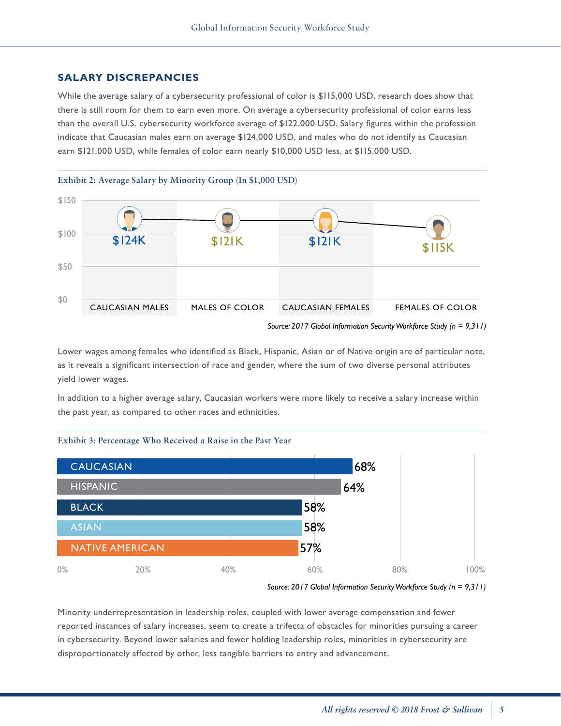## <span id="page-4-0"></span>**SALARY DISCREPANCIES**

While the average salary of a cybersecurity professional of color is \$115,000 USD, research does show that there is still room for them to earn even more. On average a cybersecurity professional of color earns less than the overall U.S. cybersecurity workforce average of \$122,000 USD. Salary figures within the profession indicate that Caucasian males earn on average \$124,000 USD, and males who do not identify as Caucasian earn \$121,000 USD, while females of color earn nearly \$10,000 USD less, at \$115,000 USD.



Lower wages among females who identified as Black, Hispanic, Asian or of Native origin are of particular note, as it reveals a significant intersection of race and gender, where the sum of two diverse personal attributes yield lower wages.

In addition to a higher average salary, Caucasian workers were more likely to receive a salary increase within the past year, as compared to other races and ethnicities.





Minority underrepresentation in leadership roles, coupled with lower average compensation and fewer reported instances of salary increases, seem to create a trifecta of obstacles for minorities pursuing a career in cybersecurity. Beyond lower salaries and fewer holding leadership roles, minorities in cybersecurity are disproportionately affected by other, less tangible barriers to entry and advancement.

*Source: 2017 Global Information Security Workforce Study (n = 9,311)*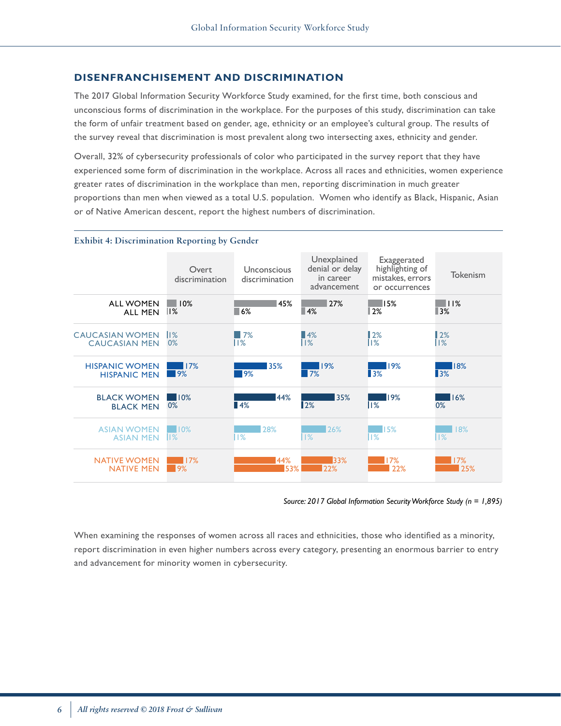#### <span id="page-5-0"></span>**DISENFRANCHISEMENT AND DISCRIMINATION**

The 2017 Global Information Security Workforce Study examined, for the first time, both conscious and unconscious forms of discrimination in the workplace. For the purposes of this study, discrimination can take the form of unfair treatment based on gender, age, ethnicity or an employee's cultural group. The results of the survey reveal that discrimination is most prevalent along two intersecting axes, ethnicity and gender.

Overall, 32% of cybersecurity professionals of color who participated in the survey report that they have experienced some form of discrimination in the workplace. Across all races and ethnicities, women experience greater rates of discrimination in the workplace than men, reporting discrimination in much greater proportions than men when viewed as a total U.S. population. Women who identify as Black, Hispanic, Asian or of Native American descent, report the highest numbers of discrimination.

#### **Exhibit 4: Discrimination Reporting by Gender**

|                        | Overt<br>discrimination | Unconscious<br>discrimination | Unexplained<br>denial or delay<br>in career<br>advancement | Exaggerated<br>highlighting of<br>mistakes, errors<br>or occurrences | <b>Tokenism</b>   |
|------------------------|-------------------------|-------------------------------|------------------------------------------------------------|----------------------------------------------------------------------|-------------------|
| <b>ALL WOMEN</b>       | 10%                     | 45%                           | 27%                                                        | $\blacksquare$ 15%                                                   | $\blacksquare$    |
| <b>ALL MEN</b>         | %                       | 6%                            | $\blacksquare$ 4%                                          | 12%                                                                  | $\blacksquare$ 3% |
| <b>CAUCASIAN WOMEN</b> | $  \%$                  | 17%                           | $\blacksquare$ 4%                                          | 12%                                                                  | 12%               |
| <b>CAUCASIAN MEN</b>   | 0%                      | $  \%$                        | $1\%$                                                      | %                                                                    | %                 |
| <b>HISPANIC WOMEN</b>  | 17%                     | 35%                           | 19%                                                        | 19%                                                                  | 18%               |
| <b>HISPANIC MEN</b>    | $\blacksquare$ 9%       | 19%                           | 7%                                                         | $\blacksquare$ 3%                                                    | $\blacksquare$ 3% |
| <b>BLACK WOMEN</b>     | 10%                     | 44%                           | 35%                                                        | 19%                                                                  | 16%               |
| <b>BLACK MEN</b>       | 0%                      | $\blacksquare$ 4%             | 2%                                                         | $\mathsf{II}$ %                                                      | 0%                |
| <b>ASIAN WOMEN</b>     | 10%                     | 28%                           | 26%                                                        | $\blacksquare$ 15%                                                   | 18%               |
| <b>ASIAN MEN</b>       | $\mathbb{I}$ %          | 1%                            | $\frac{18}{2}$                                             | $  \%$                                                               | 1%                |
| <b>NATIVE WOMEN</b>    | 17%                     | 44%                           | 33%                                                        | 17%                                                                  | 17%               |
| <b>NATIVE MEN</b>      | $\overline{9\%}$        | 53%                           | 22%                                                        | 22%                                                                  | 25%               |

*Source: 2017 Global Information Security Workforce Study (n = 1,895)*

When examining the responses of women across all races and ethnicities, those who identified as a minority, report discrimination in even higher numbers across every category, presenting an enormous barrier to entry and advancement for minority women in cybersecurity.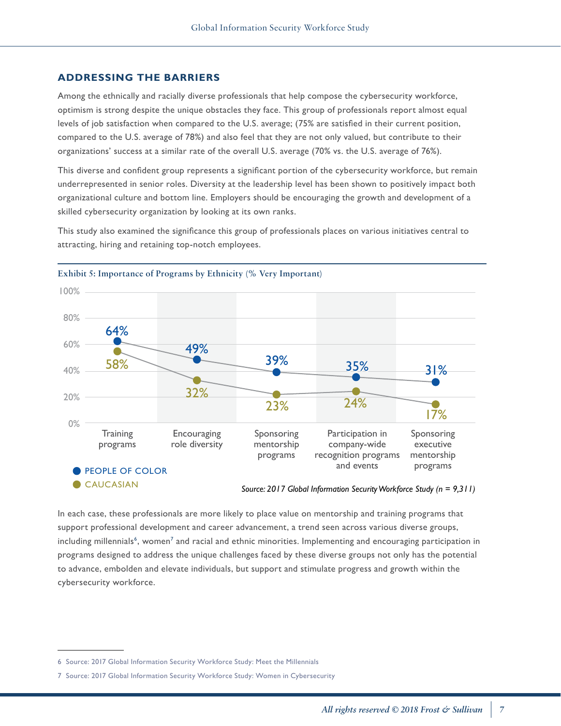#### <span id="page-6-0"></span>**ADDRESSING THE BARRIERS**

Among the ethnically and racially diverse professionals that help compose the cybersecurity workforce, optimism is strong despite the unique obstacles they face. This group of professionals report almost equal levels of job satisfaction when compared to the U.S. average; (75% are satisfied in their current position, compared to the U.S. average of 78%) and also feel that they are not only valued, but contribute to their organizations' success at a similar rate of the overall U.S. average (70% vs. the U.S. average of 76%).

This diverse and confident group represents a significant portion of the cybersecurity workforce, but remain underrepresented in senior roles. Diversity at the leadership level has been shown to positively impact both organizational culture and bottom line. Employers should be encouraging the growth and development of a skilled cybersecurity organization by looking at its own ranks.

This study also examined the significance this group of professionals places on various initiatives central to attracting, hiring and retaining top-notch employees.



#### **Exhibit 5: Importance of Programs by Ethnicity (% Very Important)**

In each case, these professionals are more likely to place value on mentorship and training programs that support professional development and career advancement, a trend seen across various diverse groups, including millennials<sup>6</sup>, women<sup>7</sup> and racial and ethnic minorities. Implementing and encouraging participation in programs designed to address the unique challenges faced by these diverse groups not only has the potential to advance, embolden and elevate individuals, but support and stimulate progress and growth within the cybersecurity workforce.

<sup>6</sup> Source: 2017 Global Information Security Workforce Study: Meet the Millennials

<sup>7</sup> Source: 2017 Global Information Security Workforce Study: Women in Cybersecurity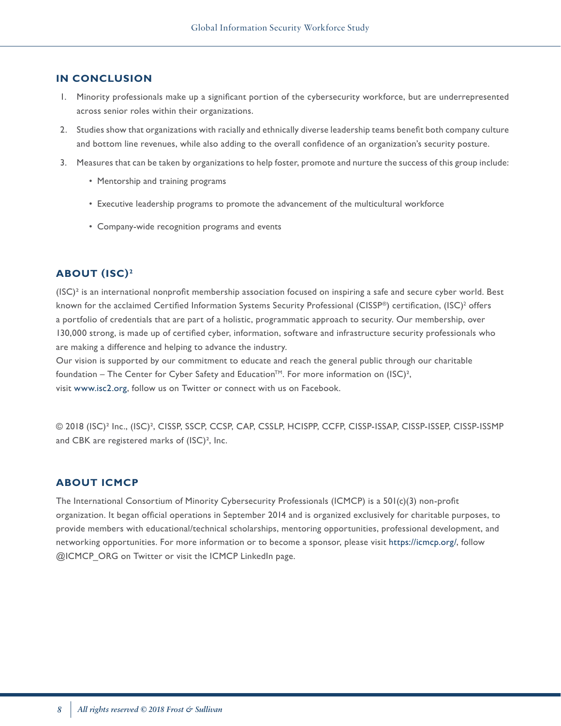#### <span id="page-7-0"></span>**IN CONCLUSION**

- 1. Minority professionals make up a significant portion of the cybersecurity workforce, but are underrepresented across senior roles within their organizations.
- 2. Studies show that organizations with racially and ethnically diverse leadership teams benefit both company culture and bottom line revenues, while also adding to the overall confidence of an organization's security posture.
- 3. Measures that can be taken by organizations to help foster, promote and nurture the success of this group include:
	- Mentorship and training programs
	- Executive leadership programs to promote the advancement of the multicultural workforce
	- Company-wide recognition programs and events

#### **ABOUT (ISC) <sup>2</sup>**

 $(ISC)^2$  is an international nonprofit membership association focused on inspiring a safe and secure cyber world. Best known for the acclaimed Certified Information Systems Security Professional (CISSP®) certification, (ISC)<sup>2</sup> offers a portfolio of credentials that are part of a holistic, programmatic approach to security. Our membership, over 130,000 strong, is made up of certified cyber, information, software and infrastructure security professionals who are making a difference and helping to advance the industry.

Our vision is supported by our commitment to educate and reach the general public through our charitable foundation – The Center for Cyber Safety and Education<sup>TM</sup>. For more information on (ISC)<sup>2</sup>, visit www.isc2.org, follow us on Twitter or connect with us on Facebook.

© 2018 (ISC)² Inc., (ISC)², CISSP, SSCP, CCSP, CAP, CSSLP, HCISPP, CCFP, CISSP-ISSAP, CISSP-ISSEP, CISSP-ISSMP and CBK are registered marks of (ISC)², Inc.

#### **ABOUT ICMCP**

The International Consortium of Minority Cybersecurity Professionals (ICMCP) is a 501(c)(3) non-profit organization. It began official operations in September 2014 and is organized exclusively for charitable purposes, to provide members with educational/technical scholarships, mentoring opportunities, professional development, and networking opportunities. For more information or to become a sponsor, please visit https://icmcp.org/, follow @ICMCP\_ORG on Twitter or visit the ICMCP LinkedIn page.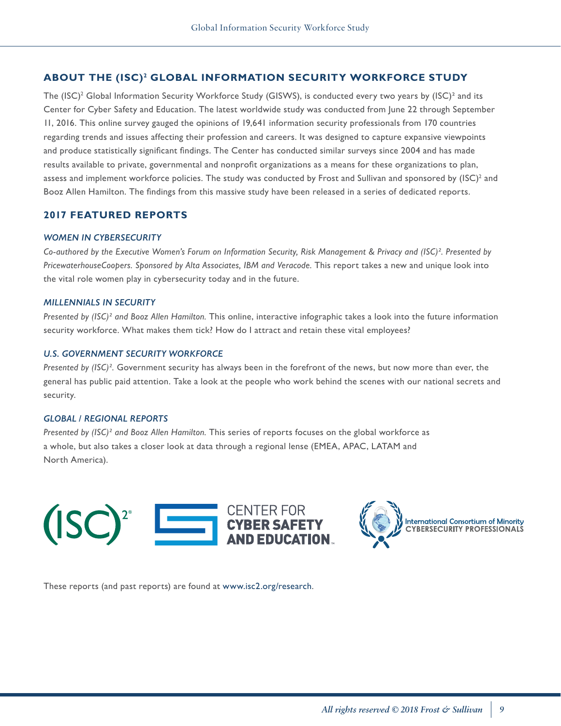## <span id="page-8-0"></span>**ABOUT THE (ISC)2 GLOBAL INFORMATION SECURITY WORKFORCE STUDY**

The (ISC)<sup>2</sup> Global Information Security Workforce Study (GISWS), is conducted every two years by (ISC)<sup>2</sup> and its Center for Cyber Safety and Education. The latest worldwide study was conducted from June 22 through September 11, 2016. This online survey gauged the opinions of 19,641 information security professionals from 170 countries regarding trends and issues affecting their profession and careers. It was designed to capture expansive viewpoints and produce statistically significant findings. The Center has conducted similar surveys since 2004 and has made results available to private, governmental and nonprofit organizations as a means for these organizations to plan, assess and implement workforce policies. The study was conducted by Frost and Sullivan and sponsored by (ISC)<sup>2</sup> and Booz Allen Hamilton. The findings from this massive study have been released in a series of dedicated reports.

## **2017 FEATURED REPORTS**

#### *WOMEN IN CYBERSECURITY*

*Co-authored by the Executive Women's Forum on Information Security, Risk Management & Privacy and (ISC)². Presented by PricewaterhouseCoopers. Sponsored by Alta Associates, IBM and Veracode.* This report takes a new and unique look into the vital role women play in cybersecurity today and in the future.

#### *MILLENNIALS IN SECURITY*

*Presented by (ISC)² and Booz Allen Hamilton.* This online, interactive infographic takes a look into the future information security workforce. What makes them tick? How do I attract and retain these vital employees?

#### *U.S. GOVERNMENT SECURITY WORKFORCE*

*Presented by (ISC)².* Government security has always been in the forefront of the news, but now more than ever, the general has public paid attention. Take a look at the people who work behind the scenes with our national secrets and security.

#### *GLOBAL / REGIONAL REPORTS*

*Presented by (ISC)² and Booz Allen Hamilton.* This series of reports focuses on the global workforce as a whole, but also takes a closer look at data through a regional lense (EMEA, APAC, LATAM and North America).





**International Consortium of Minority<br>CYBERSECURITY PROFESSIONALS** 

These reports (and past reports) are found at www.isc2.org/research.